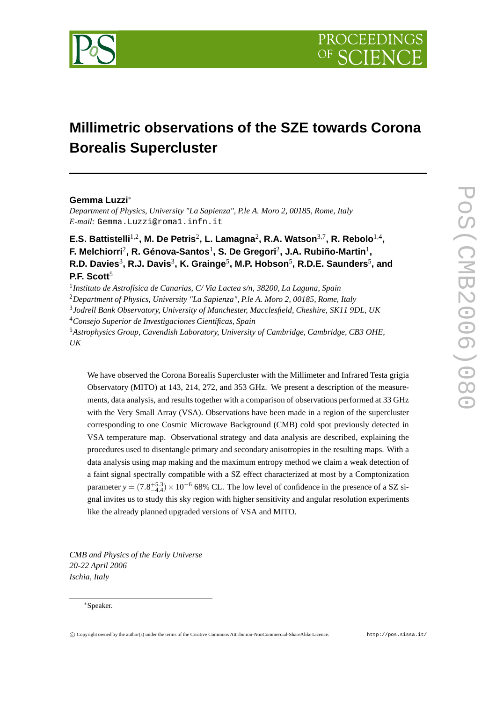

# **Millimetric observations of the SZE towards Corona Borealis Supercluster**

# **Gemma Luzzi**<sup>∗</sup>

*Department of Physics, University "La Sapienza", P.le A. Moro 2, 00185, Rome, Italy E-mail:* Gemma.Luzzi@roma1.infn.it

E.S. Battistelli<sup>1,2</sup>, M. De Petris<sup>2</sup>, L. Lamagna<sup>2</sup>, R.A. Watson<sup>3,7</sup>, R. Rebolo<sup>1,4</sup>, **F. Melchiorri**<sup>2</sup> **, R. Génova-Santos**<sup>1</sup> **, S. De Gregori**<sup>2</sup> **, J.A. Rubiño-Martin**<sup>1</sup> **,**  $\mathsf{R}.\mathsf{D}.\mathsf{ Davies}^3,\mathsf{R}.\mathsf{J}.\mathsf{Davis}^3,\mathsf{K}.\mathsf{Grainge}^5,\mathsf{M}.\mathsf{P}.\mathsf{Hobson}^5,\mathsf{R}.\mathsf{D}.\mathsf{E}.\mathsf{Saunders}^5,\mathsf{and}$ **P.F. Scott**<sup>5</sup>

 *Instituto de Astrofísica de Canarias, C/ Via Lactea s/n, 38200, La Laguna, Spain Department of Physics, University "La Sapienza", P.le A. Moro 2, 00185, Rome, Italy Jodrell Bank Observatory, University of Manchester, Macclesfield, Cheshire, SK11 9DL, UK Consejo Superior de Investigaciones Científicas, Spain Astrophysics Group, Cavendish Laboratory, University of Cambridge, Cambridge, CB3 OHE, UK*

We have observed the Corona Borealis Supercluster with the Millimeter and Infrared Testa grigia Observatory (MITO) at 143, 214, 272, and 353 GHz. We present a description of the measurements, data analysis, and results together with a comparison of observations performed at 33 GHz with the Very Small Array (VSA). Observations have been made in a region of the supercluster corresponding to one Cosmic Microwave Background (CMB) cold spot previously detected in VSA temperature map. Observational strategy and data analysis are described, explaining the procedures used to disentangle primary and secondary anisotropies in the resulting maps. With a data analysis using map making and the maximum entropy method we claim a weak detection of a faint signal spectrally compatible with a SZ effect characterized at most by a Comptonization parameter  $y = (7.8^{+5.3}_{-4.4}) \times 10^{-6}$  68% CL. The low level of confidence in the presence of a SZ signal invites us to study this sky region with higher sensitivity and angular resolution experiments like the already planned upgraded versions of VSA and MITO.

*CMB and Physics of the Early Universe 20-22 April 2006 Ischia, Italy*

#### <sup>∗</sup>Speaker.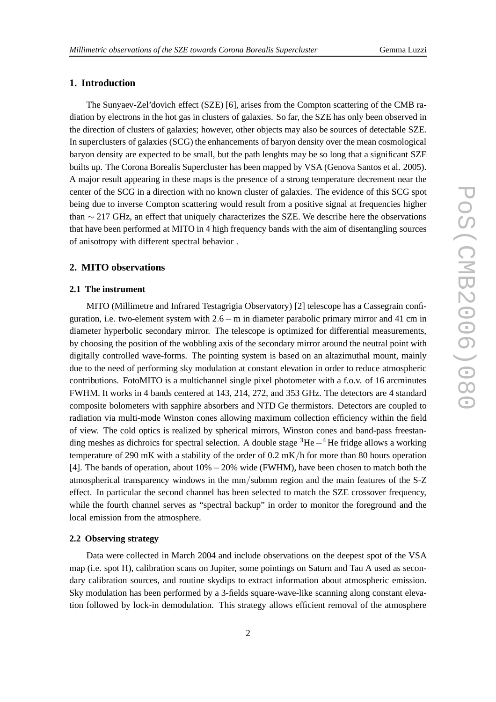# **1. Introduction**

The Sunyaev-Zel'dovich effect (SZE) [6], arises from the Compton scattering of the CMB radiation by electrons in the hot gas in clusters of galaxies. So far, the SZE has only been observed in the direction of clusters of galaxies; however, other objects may also be sources of detectable SZE. In superclusters of galaxies (SCG) the enhancements of baryon density over the mean cosmological baryon density are expected to be small, but the path lenghts may be so long that a significant SZE builts up. The Corona Borealis Supercluster has been mapped by VSA (Genova Santos et al. 2005). A major result appearing in these maps is the presence of a strong temperature decrement near the center of the SCG in a direction with no known cluster of galaxies. The evidence of this SCG spot being due to inverse Compton scattering would result from a positive signal at frequencies higher than ∼ 217 GHz, an effect that uniquely characterizes the SZE. We describe here the observations that have been performed at MITO in 4 high frequency bands with the aim of disentangling sources of anisotropy with different spectral behavior .

## **2. MITO observations**

#### **2.1 The instrument**

MITO (Millimetre and Infrared Testagrigia Observatory) [2] telescope has a Cassegrain configuration, i.e. two-element system with 2.6−m in diameter parabolic primary mirror and 41 cm in diameter hyperbolic secondary mirror. The telescope is optimized for differential measurements, by choosing the position of the wobbling axis of the secondary mirror around the neutral point with digitally controlled wave-forms. The pointing system is based on an altazimuthal mount, mainly due to the need of performing sky modulation at constant elevation in order to reduce atmospheric contributions. FotoMITO is a multichannel single pixel photometer with a f.o.v. of 16 arcminutes FWHM. It works in 4 bands centered at 143, 214, 272, and 353 GHz. The detectors are 4 standard composite bolometers with sapphire absorbers and NTD Ge thermistors. Detectors are coupled to radiation via multi-mode Winston cones allowing maximum collection efficiency within the field of view. The cold optics is realized by spherical mirrors, Winston cones and band-pass freestanding meshes as dichroics for spectral selection. A double stage <sup>3</sup>He−<sup>4</sup> He fridge allows a working temperature of 290 mK with a stability of the order of 0.2 mK/h for more than 80 hours operation [4]. The bands of operation, about 10%−20% wide (FWHM), have been chosen to match both the atmospherical transparency windows in the mm/submm region and the main features of the S-Z effect. In particular the second channel has been selected to match the SZE crossover frequency, while the fourth channel serves as "spectral backup" in order to monitor the foreground and the local emission from the atmosphere.

### **2.2 Observing strategy**

Data were collected in March 2004 and include observations on the deepest spot of the VSA map (i.e. spot H), calibration scans on Jupiter, some pointings on Saturn and Tau A used as secondary calibration sources, and routine skydips to extract information about atmospheric emission. Sky modulation has been performed by a 3-fields square-wave-like scanning along constant elevation followed by lock-in demodulation. This strategy allows efficient removal of the atmosphere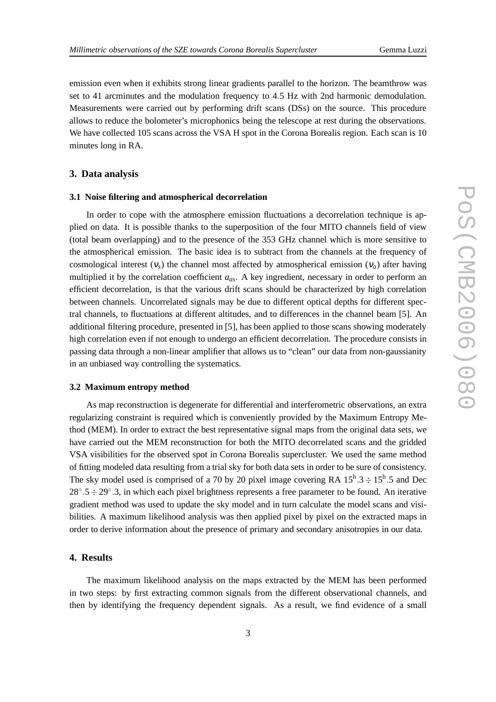emission even when it exhibits strong linear gradients parallel to the horizon. The beamthrow was set to 41 arcminutes and the modulation frequency to 4.5 Hz with 2nd harmonic demodulation. Measurements were carried out by performing drift scans (DSs) on the source. This procedure allows to reduce the bolometer's microphonics being the telescope at rest during the observations. We have collected 105 scans across the VSA H spot in the Corona Borealis region. Each scan is 10 minutes long in RA.

#### **3. Data analysis**

#### **3.1 Noise filtering and atmospherical decorrelation**

In order to cope with the atmosphere emission fluctuations a decorrelation technique is applied on data. It is possible thanks to the superposition of the four MITO channels field of view (total beam overlapping) and to the presence of the 353 GHz channel which is more sensitive to the atmospherical emission. The basic idea is to subtract from the channels at the frequency of cosmological interest  $(v<sub>s</sub>)$  the channel most affected by atmospherical emission  $(v<sub>a</sub>)$  after having multiplied it by the correlation coefficient *aas*. A key ingredient, necessary in order to perform an efficient decorrelation, is that the various drift scans should be characterized by high correlation between channels. Uncorrelated signals may be due to different optical depths for different spectral channels, to fluctuations at different altitudes, and to differences in the channel beam [5]. An additional filtering procedure, presented in [5], has been applied to those scans showing moderately high correlation even if not enough to undergo an efficient decorrelation. The procedure consists in passing data through a non-linear amplifier that allows us to "clean" our data from non-gaussianity in an unbiased way controlling the systematics.

## **3.2 Maximum entropy method**

As map reconstruction is degenerate for differential and interferometric observations, an extra regularizing constraint is required which is conveniently provided by the Maximum Entropy Method (MEM). In order to extract the best representative signal maps from the original data sets, we have carried out the MEM reconstruction for both the MITO decorrelated scans and the gridded VSA visibilities for the observed spot in Corona Borealis supercluster. We used the same method of fitting modeled data resulting from a trial sky for both data sets in order to be sure of consistency. The sky model used is comprised of a 70 by 20 pixel image covering RA  $15^{\text{h}}.3 \div 15^{\text{h}}.5$  and Dec 28° .5 ÷ 29° .3, in which each pixel brightness represents a free parameter to be found. An iterative gradient method was used to update the sky model and in turn calculate the model scans and visibilities. A maximum likelihood analysis was then applied pixel by pixel on the extracted maps in order to derive information about the presence of primary and secondary anisotropies in our data.

# **4. Results**

The maximum likelihood analysis on the maps extracted by the MEM has been performed in two steps: by first extracting common signals from the different observational channels, and then by identifying the frequency dependent signals. As a result, we find evidence of a small